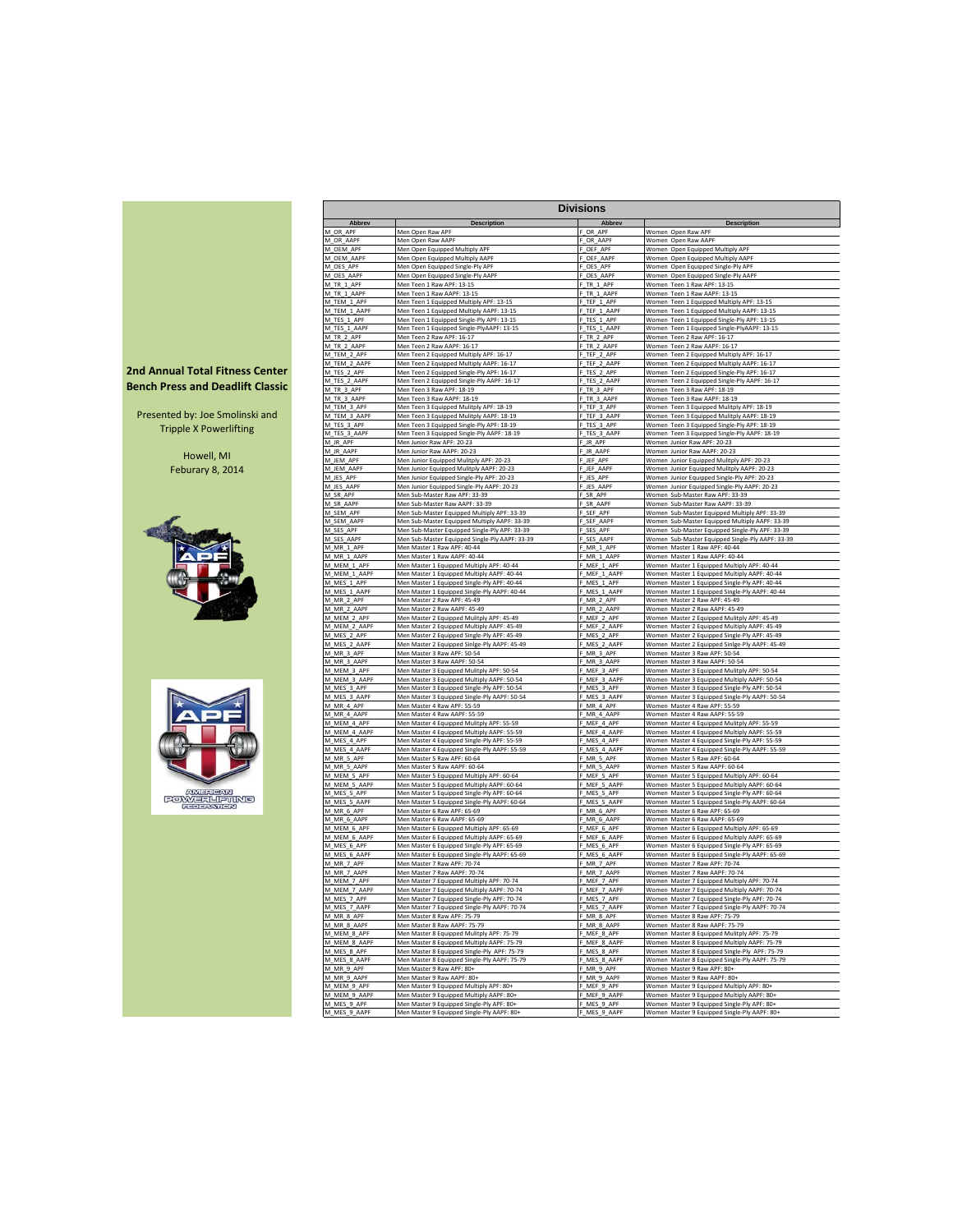|                                         |                             | <b>Divisions</b>                                                                            |                             |                                                                                                 |  |  |  |  |  |  |  |  |
|-----------------------------------------|-----------------------------|---------------------------------------------------------------------------------------------|-----------------------------|-------------------------------------------------------------------------------------------------|--|--|--|--|--|--|--|--|
|                                         | Abbrev                      | <b>Description</b>                                                                          | Abbrev                      | <b>Description</b>                                                                              |  |  |  |  |  |  |  |  |
|                                         | M_OR_APF                    | Men Open Raw APF                                                                            | OR_APF                      | Women Open Raw APF                                                                              |  |  |  |  |  |  |  |  |
|                                         | M_OR_AAPF                   | Men Open Raw AAPF                                                                           | OR_AAPF                     | Women Open Raw AAPF                                                                             |  |  |  |  |  |  |  |  |
|                                         | M_OEM_APF<br>M_OEM_AAPF     | Men Open Equipped Multiply APF<br>Men Open Equipped Multiply AAPF                           | OEF_APF<br>OEF_AAPF         | Women Open Equipped Multiply APF<br>Women Open Equipped Multiply AAPF                           |  |  |  |  |  |  |  |  |
|                                         | M_OES_APF                   | Men Open Equipped Single-Ply APF                                                            | _OES_APF                    | Women Open Equipped Single-Ply APF                                                              |  |  |  |  |  |  |  |  |
|                                         | M OES AAPF                  | Men Open Equipped Single-Ply AAPF                                                           | F OES AAPF                  | Women Open Equipped Single-Ply AAPF                                                             |  |  |  |  |  |  |  |  |
|                                         | M_TR_1_APF                  | Men Teen 1 Raw APF: 13-15<br>Men Teen 1 Raw AAPF: 13-15                                     | F_TR_1_APF                  | Women Teen 1 Raw APF: 13-15                                                                     |  |  |  |  |  |  |  |  |
|                                         | M_TR_1_AAPF<br>M_TEM_1_APF  | Men Teen 1 Equipped Multiply APF: 13-15                                                     | F_TR_1_AAPF<br>_TEF_1_APF   | Women Teen 1 Raw AAPF: 13-15<br>Women Teen 1 Equipped Multiply APF: 13-15                       |  |  |  |  |  |  |  |  |
|                                         | M_TEM_1_AAPF                | Men Teen 1 Equipped Multiply AAPF: 13-15                                                    | TEF_1_AAPF                  | Women Teen 1 Equipped Multiply AAPF: 13-15                                                      |  |  |  |  |  |  |  |  |
|                                         | M_TES_1_APF                 | Men Teen 1 Equipped Single-Ply APF: 13-15                                                   | TES_1_APF                   | Women Teen 1 Equipped Single-Ply APF: 13-15                                                     |  |  |  |  |  |  |  |  |
|                                         | M_TES_1_AAPF<br>M_TR_2_APF  | Men Teen 1 Equipped Single-PlyAAPF: 13-15<br>Men Teen 2 Raw APF: 16-17                      | TES_1_AAPF<br>F_TR_2_APF    | Women Teen 1 Equipped Single-PlyAAPF: 13-15<br>Women Teen 2 Raw APF: 16-17                      |  |  |  |  |  |  |  |  |
|                                         | M_TR_2_AAPF                 | Men Teen 2 Raw AAPF: 16-17                                                                  | TR_2_AAPF                   | Women Teen 2 Raw AAPF: 16-17                                                                    |  |  |  |  |  |  |  |  |
|                                         | M TEM 2 APF                 | Men Teen 2 Equipped Multiply APF: 16-17                                                     | F TEF 2 APF                 | Women Teen 2 Equipped Multiply APF: 16-17                                                       |  |  |  |  |  |  |  |  |
| <b>2nd Annual Total Fitness Center</b>  | M_TEM_2_AAPF                | Men Teen 2 Equipped Multiply AAPF: 16-17                                                    | F_TEF_2_AAPF                | Women Teen 2 Equipped Multiply AAPF: 16-17                                                      |  |  |  |  |  |  |  |  |
|                                         | M_TES_2_APF<br>M_TES_2_AAPF | Men Teen 2 Equipped Single-Ply APF: 16-17<br>Men Teen 2 Equipped Single-Ply AAPF: 16-17     | F_TES_2_APF<br>F_TES_2_AAPF | Women Teen 2 Equipped Single-Ply APF: 16-17<br>Women Teen 2 Equipped Single-Ply AAPF: 16-17     |  |  |  |  |  |  |  |  |
| <b>Bench Press and Deadlift Classic</b> | M_TR_3_APF                  | Men Teen 3 Raw APF: 18-19                                                                   | TR_3_APF                    | Women Teen 3 Raw APF: 18-19                                                                     |  |  |  |  |  |  |  |  |
|                                         | M_TR_3_AAPF                 | Men Teen 3 Raw AAPF: 18-19                                                                  | TR 3 AAPF                   | Women Teen 3 Raw AAPF: 18-19                                                                    |  |  |  |  |  |  |  |  |
| Presented by: Joe Smolinski and         | M_TEM_3_APF                 | Men Teen 3 Equipped Mulitply APF: 18-19                                                     | TEF_3_APF                   | Women Teen 3 Equipped Mulitply APF: 18-19                                                       |  |  |  |  |  |  |  |  |
|                                         | M_TEM_3_AAPF<br>M TES 3 APF | Men Teen 3 Equipped Mulitply AAPF: 18-19<br>Men Teen 3 Equipped Single-Ply APF: 18-19       | F_TEF_3_AAPF<br>TES 3 APF   | Women Teen 3 Equipped Mulitply AAPF: 18-19<br>Women Teen 3 Equipped Single-Ply APF: 18-19       |  |  |  |  |  |  |  |  |
| <b>Tripple X Powerlifting</b>           | M_TES_3_AAPF                | Men Teen 3 Equipped Single-Ply AAPF: 18-19                                                  | F_TES_3_AAPF                | Women Teen 3 Equipped Single-Ply AAPF: 18-19                                                    |  |  |  |  |  |  |  |  |
|                                         | M_JR_APF                    | Men Junior Raw APF: 20-23                                                                   | F_JR_APF                    | Women Junior Raw APF: 20-23                                                                     |  |  |  |  |  |  |  |  |
| Howell, MI                              | M_JR_AAPF<br>M_JEM_APF      | Men Junior Raw AAPF: 20-23                                                                  | F_JR_AAPF                   | Women Junior Raw AAPF: 20-23                                                                    |  |  |  |  |  |  |  |  |
| Feburary 8, 2014                        | M_JEM_AAPF                  | Men Junior Equipped Mulitply APF: 20-23<br>Men Junior Equipped Mulitply AAPF: 20-23         | F_JEF_APF<br>JEF_AAPF       | Women Junior Equipped Mulitply APF: 20-23<br>Women Junior Equipped Mulitply AAPF: 20-23         |  |  |  |  |  |  |  |  |
|                                         | M_JES_APF                   | Men Junior Equipped Single-Ply APF: 20-23                                                   | _JES_APF                    | Women Junior Equipped Single-Ply APF: 20-23                                                     |  |  |  |  |  |  |  |  |
|                                         | M_JES_AAPF                  | Men Junior Equipped Single-Ply AAPF: 20-23                                                  | F_JES_AAPF                  | Women Junior Equipped Single-Ply AAPF: 20-23                                                    |  |  |  |  |  |  |  |  |
|                                         | M_SR_APF<br>M_SR_AAPF       | Men Sub-Master Raw APF: 33-39<br>Men Sub-Master Raw AAPF: 33-39                             | F_SR_APF<br>F SR AAPF       | Women Sub-Master Raw APF: 33-39<br>Women Sub-Master Raw AAPF: 33-39                             |  |  |  |  |  |  |  |  |
|                                         | M_SEM_APF                   | Men Sub-Master Equipped Multiply APF: 33-39                                                 | F_SEF_APF                   | Women Sub-Master Equipped Multiply APF: 33-39                                                   |  |  |  |  |  |  |  |  |
|                                         | M_SEM_AAPF                  | Men Sub-Master Equipped Multiply AAPF: 33-39                                                | F_SEF_AAPF                  | Women Sub-Master Equipped Multiply AAPF: 33-39                                                  |  |  |  |  |  |  |  |  |
|                                         | M_SES_APF                   | Men Sub-Master Equipped Single-Ply APF: 33-39                                               | SES_APF                     | Women Sub-Master Equipped Single-Ply APF: 33-39                                                 |  |  |  |  |  |  |  |  |
|                                         | M_SES_AAPF<br>M_MR_1_APF    | Men Sub-Master Equipped Single-Ply AAPF: 33-39<br>Men Master 1 Raw APF: 40-44               | SES_AAPF<br>_MR_1_APF       | Women Sub-Master Equipped Single-Ply AAPF: 33-39<br>Women Master 1 Raw APF: 40-44               |  |  |  |  |  |  |  |  |
|                                         | M_MR_1_AAPF                 | Men Master 1 Raw AAPF: 40-44                                                                | MR_1_AAPF                   | Women Master 1 Raw AAPF: 40-44                                                                  |  |  |  |  |  |  |  |  |
|                                         | M_MEM_1_APF                 | Men Master 1 Equipped Multiply APF: 40-44                                                   | F MEF 1 APF                 | Women Master 1 Equipped Multiply APF: 40-44                                                     |  |  |  |  |  |  |  |  |
|                                         | M MEM 1 AAPF                | Men Master 1 Equipped Multiply AAPF: 40-44                                                  | MEF 1 AAPF                  | Women Master 1 Equipped Multiply AAPF: 40-44                                                    |  |  |  |  |  |  |  |  |
|                                         | M_MES_1_APF<br>M_MES_1_AAPF | Men Master 1 Equipped Single-Ply APF: 40-44<br>Men Master 1 Equipped Single-Ply AAPF: 40-44 | F_MES_1_APF<br>F_MES_1_AAPF | Women Master 1 Equipped Single-Ply APF: 40-44<br>Women Master 1 Equipped Single-Ply AAPF: 40-44 |  |  |  |  |  |  |  |  |
|                                         | M_MR_2_APF                  | Men Master 2 Raw APF: 45-49                                                                 | MR_2_APF                    | Women Master 2 Raw APF: 45-49                                                                   |  |  |  |  |  |  |  |  |
|                                         | M MR 2 AAPF                 | Men Master 2 Raw AAPF: 45-49                                                                | MR_2_AAPF                   | Women Master 2 Raw AAPF: 45-49                                                                  |  |  |  |  |  |  |  |  |
|                                         | M MEM 2 APF                 | Men Master 2 Equipped Mulitply APF: 45-49<br>Men Master 2 Equipped Multiply AAPF: 45-49     | _MEF_2_APF                  | Women Master 2 Equipped Mulitply APF: 45-49                                                     |  |  |  |  |  |  |  |  |
|                                         | M_MEM_2_AAPP<br>M_MES_2_APF | Men Master 2 Equipped Single-Ply APF: 45-49                                                 | F_MEF_2_AAPP<br>F_MES_2_APF | Women Master 2 Equipped Multiply AAPF: 45-49<br>Women Master 2 Equipped Single-Ply APF: 45-49   |  |  |  |  |  |  |  |  |
|                                         | M MES 2 AAPF                | Men Master 2 Equipped Sinlge-Ply AAPF: 45-49                                                | F_MES_2_AAPP                | Women Master 2 Equipped Sinlge-Ply AAPF: 45-49                                                  |  |  |  |  |  |  |  |  |
|                                         | M_MR_3_APF                  | Men Master 3 Raw APF: 50-54                                                                 | F_MR_3_APF                  | Women Master 3 Raw APF: 50-54                                                                   |  |  |  |  |  |  |  |  |
|                                         | M_MR_3_AAPF<br>M_MEM_3_APF  | Men Master 3 Raw AAPF: 50-54<br>Men Master 3 Equipped Mulitply APF: 50-54                   | _MR_3_AAPF<br>MEF_3_APF     | Women Master 3 Raw AAPF: 50-54<br>Women Master 3 Equipped Mulitply APF: 50-54                   |  |  |  |  |  |  |  |  |
|                                         | M_MEM_3_AAPF                | Men Master 3 Equipped Multiply AAPF: 50-54                                                  | MEF_3_AAPF                  | Women Master 3 Equipped Multiply AAPF: 50-54                                                    |  |  |  |  |  |  |  |  |
|                                         | M_MES_3_APF                 | Men Master 3 Equipped Single-Ply APF: 50-54                                                 | MES_3_APF                   | Women Master 3 Equipped Single-Ply APF: 50-54                                                   |  |  |  |  |  |  |  |  |
|                                         | M_MES_3_AAPF                | Men Master 3 Equipped Single-Ply AAPF: 50-54                                                | MES_3_AAPP                  | Women Master 3 Equipped Single-Ply AAPF: 50-54                                                  |  |  |  |  |  |  |  |  |
|                                         | M_MR_4_APF<br>M_MR_4_AAPF   | Men Master 4 Raw APF: 55-59<br>Men Master 4 Raw AAPF: 55-59                                 | MR_4_APF<br>MR_4_AAPF       | Women Master 4 Raw APF: 55-59<br>Women Master 4 Raw AAPF: 55-59                                 |  |  |  |  |  |  |  |  |
|                                         | M MEM 4 APF                 | Men Master 4 Equipped Mulitply APF: 55-59                                                   | MEF 4 APF                   | Women Master 4 Equipped Mulitply APF: 55-59                                                     |  |  |  |  |  |  |  |  |
|                                         | M_MEM_4_AAPF                | Men Master 4 Equipped Multiply AAPF: 55-59                                                  | MEF_4_AAPF                  | Women Master 4 Equipped Multiply AAPF: 55-59                                                    |  |  |  |  |  |  |  |  |
|                                         | M_MES_4_APF                 | Men Master 4 Equipped Single-Ply APF: 55-59                                                 | F_MES_4_APF                 | Women Master 4 Equipped Single-Ply APF: 55-59                                                   |  |  |  |  |  |  |  |  |
|                                         | M_MES_4_AAPF<br>M_MR_5_APF  | Men Master 4 Equipped Single-Ply AAPF: 55-59<br>Men Master 5 Raw APF: 60-64                 | MES_4_AAPF<br>MR_5_APF      | Women Master 4 Equipped Single-Ply AAPF: 55-59<br>Women Master 5 Raw APF: 60-64                 |  |  |  |  |  |  |  |  |
|                                         | M_MR_5_AAPF                 | Men Master 5 Raw AAPF: 60-64                                                                | _MR_5_AAPF                  | Women Master 5 Raw AAPF: 60-64                                                                  |  |  |  |  |  |  |  |  |
|                                         | M_MEM_5_APF                 | Men Master 5 Equipped Multiply APF: 60-64                                                   | F_MEF_5_APF                 | Women Master 5 Equipped Multiply APF: 60-64                                                     |  |  |  |  |  |  |  |  |
| <b>FRIGAN</b>                           | M_MEM_5_AAPR<br>M_MES_5_APF | Men Master 5 Equipped Multiply AAPF: 60-64<br>Men Master 5 Equipped Single-Ply APF: 60-64   | F_MEF_5_AAPF<br>F_MES_5_APF | Women Master 5 Equipped Multiply AAPF: 60-64<br>Women Master 5 Equipped Single-Ply APF: 60-64   |  |  |  |  |  |  |  |  |
| <b>POWERLIAMS</b><br><b>FEDERATION</b>  | M_MES_5_AAPF                | Men Master 5 Equipped Single-Ply AAPF: 60-64                                                | F_MES_5_AAPP                | Women Master 5 Equipped Single-Ply AAPF: 60-64                                                  |  |  |  |  |  |  |  |  |
|                                         | M_MR_6_APF                  | Men Master 6 Raw APF: 65-69                                                                 | MR_6_APF                    | Women Master 6 Raw APF: 65-69                                                                   |  |  |  |  |  |  |  |  |
|                                         | M_MR_6_AAPF                 | Men Master 6 Raw AAPF: 65-69                                                                | MR_6_AAPF                   | Women Master 6 Raw AAPF: 65-69                                                                  |  |  |  |  |  |  |  |  |
|                                         | M_MEM_6_APF<br>M_MEM_6_AAPF | Men Master 6 Equipped Multiply APF: 65-69<br>Men Master 6 Equipped Multiply AAPF: 65-69     | MEF_6_APF<br>MEF_6_AAPF     | Women Master 6 Equipped Multiply APF: 65-69<br>Women Master 6 Equipped Multiply AAPF: 65-69     |  |  |  |  |  |  |  |  |
|                                         | M_MES_6_APF                 | Men Master 6 Equipped Single-Ply APF: 65-69                                                 | MES_6_APF                   | Women Master 6 Equipped Single-Ply APF: 65-69                                                   |  |  |  |  |  |  |  |  |
|                                         | M_MES_6_AAPF                | Men Master 6 Equipped Single-Ply AAPF: 65-69                                                | F_MES_6_AAPF                | Women Master 6 Equipped Single-Ply AAPF: 65-69                                                  |  |  |  |  |  |  |  |  |
|                                         | M_MR_7_APF<br>M_MR_7_AAPF   | Men Master 7 Raw APF: 70-74<br>Men Master 7 Raw AAPF: 70-74                                 | F MR 7 APF<br>F_MR_7_AAPF   | Women Master 7 Raw APF: 70-74<br>Women Master 7 Raw AAPF: 70-74                                 |  |  |  |  |  |  |  |  |
|                                         | M_MEM_7_APF                 | Men Master 7 Equipped Multiply APF: 70-74                                                   | F_MEF_7_APF                 | Women Master 7 Equipped Multiply APF: 70-74                                                     |  |  |  |  |  |  |  |  |
|                                         | M_MEM_7_AAPF                | Men Master 7 Equipped Multiply AAPF: 70-74                                                  | F_MEF_7_AAPF                | Women Master 7 Equipped Multiply AAPF: 70-74                                                    |  |  |  |  |  |  |  |  |
|                                         | M_MES_7_APF                 | Men Master 7 Equipped Single-Ply APF: 70-74                                                 | MES_7_APF                   | Women Master 7 Equipped Single-Ply APF: 70-74                                                   |  |  |  |  |  |  |  |  |
|                                         | M_MES_7_AAPF<br>M_MR_8_APF  | Men Master 7 Equipped Single-Ply AAPF: 70-74<br>Men Master 8 Raw APF: 75-79                 | _MES_7_AAPF<br>MR_8_APF     | Women Master 7 Equipped Single-Ply AAPF: 70-74<br>Women Master 8 Raw APF: 75-79                 |  |  |  |  |  |  |  |  |
|                                         | M MR 8 AAPF                 | Men Master 8 Raw AAPF: 75-79                                                                | F_MR_8_AAPF                 | Women Master 8 Raw AAPF: 75-79                                                                  |  |  |  |  |  |  |  |  |
|                                         | M_MEM_8_APF                 | Men Master 8 Equipped Mulitply APF: 75-79                                                   | F_MEF_8_APF                 | Women Master 8 Equipped Mulitply APF: 75-79                                                     |  |  |  |  |  |  |  |  |
|                                         | M MEM 8 AAPF                | Men Master 8 Equipped Multiply AAPF: 75-79                                                  | F MEF 8 AAPF                | Women Master 8 Equipped Multiply AAPF: 75-79                                                    |  |  |  |  |  |  |  |  |
|                                         | M_MES_8_APF                 | Men Master 8 Equipped Single-Ply APF: 75-79                                                 | F_MES_8_APF                 | Women Master 8 Equipped Single-Ply APF: 75-79                                                   |  |  |  |  |  |  |  |  |
|                                         | M_MES_8_AAPF<br>M_MR_9_APF  | Men Master 8 Equipped Single-Ply AAPF: 75-79<br>Men Master 9 Raw APF: 80+                   | MES_8_AAPF<br>MR_9_APF      | Women Master 8 Equipped Single-Ply AAPF: 75-79<br>Women Master 9 Raw APF: 80+                   |  |  |  |  |  |  |  |  |
|                                         | M_MR_9_AAPF                 | Men Master 9 Raw AAPF: 80+                                                                  | MR_9_AAPF                   | Women Master 9 Raw AAPF: 80+                                                                    |  |  |  |  |  |  |  |  |
|                                         | M_MEM_9_APF                 | Men Master 9 Equipped Multiply APF: 80+                                                     | MEF_9_APF                   | Women Master 9 Equipped Multiply APF: 80+                                                       |  |  |  |  |  |  |  |  |
|                                         | M_MEM_9_AAPF<br>M_MES_9_APF | Men Master 9 Equipped Multiply AAPF: 80+                                                    | MEF_9_AAPF<br>F_MES_9_APF   | Women Master 9 Equipped Multiply AAPF: 80+<br>Women Master 9 Equipped Single-Ply APF: 80+       |  |  |  |  |  |  |  |  |
|                                         | M_MES_9_AAPF                | Men Master 9 Equipped Single-Ply APF: 80+<br>Men Master 9 Equipped Single-Ply AAPF: 80+     | F_MES_9_AAPF                | Women Master 9 Equipped Single-Ply AAPF: 80+                                                    |  |  |  |  |  |  |  |  |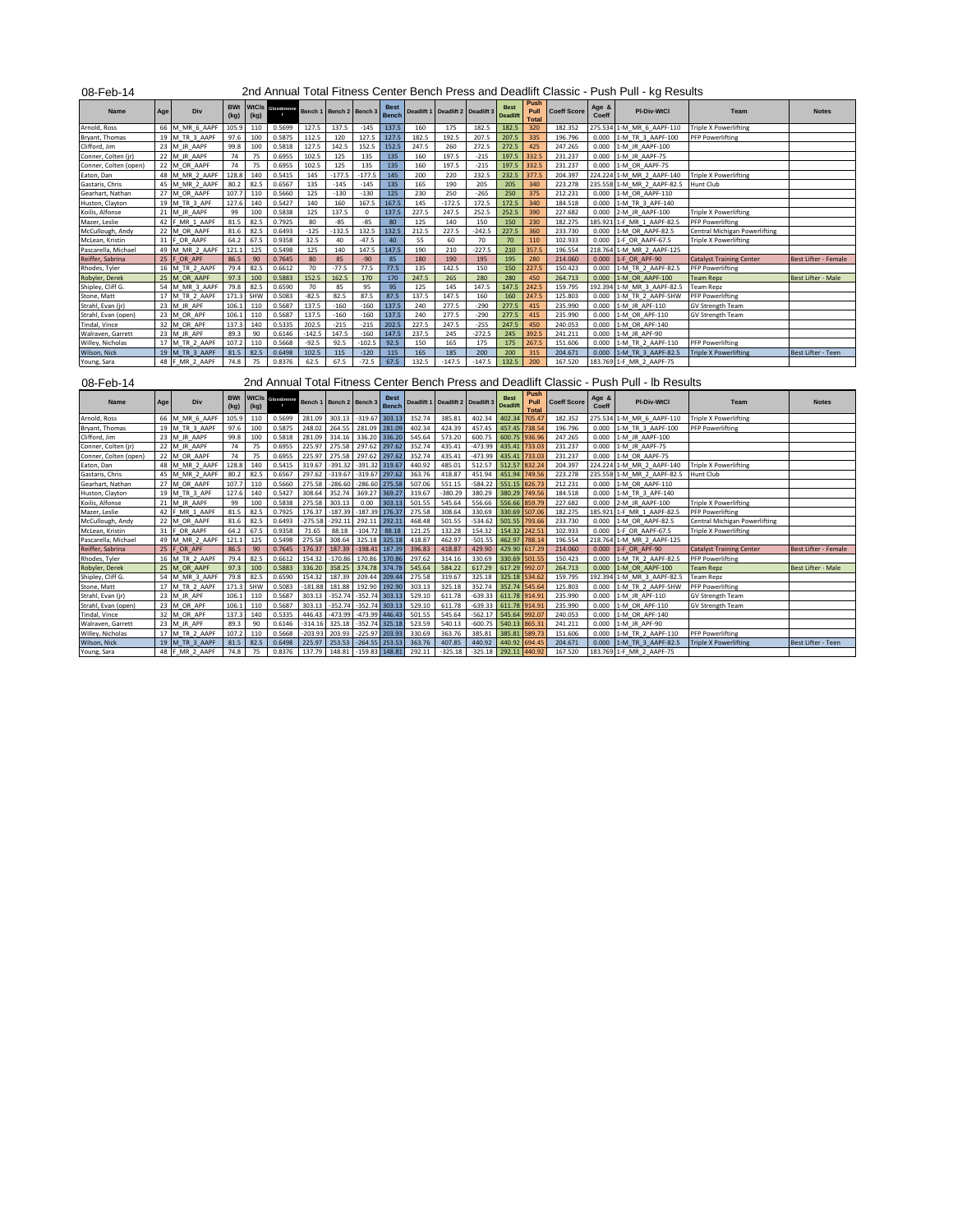| 08-Feb-14                   |     |                                  |                    |                      |                                         |                  |                  |                        |                             |                  |                       |                     |                                |                              |                    |                | 2nd Annual Total Fitness Center Bench Press and Deadlift Classic - Push Pull - kg Results |                                 |                             |
|-----------------------------|-----|----------------------------------|--------------------|----------------------|-----------------------------------------|------------------|------------------|------------------------|-----------------------------|------------------|-----------------------|---------------------|--------------------------------|------------------------------|--------------------|----------------|-------------------------------------------------------------------------------------------|---------------------------------|-----------------------------|
| Name                        | Age | Div                              | <b>BWt</b><br>(kg) | <b>WtCls</b><br>(kg) | Glossbrenne<br>$\overline{\phantom{a}}$ | Bench 1          | Bench 2          | Bench 3                | <b>Best</b><br>Bench        | Deadlift 1       | Deadlift 2            | Deadlift 3          | <b>Best</b><br><b>Deadlift</b> | Push<br>Pull<br><b>Total</b> | <b>Coeff Score</b> | Age &<br>Coeff | PI-Div-WtCl                                                                               | Team                            | <b>Notes</b>                |
| Arnold, Ross                |     | 66 M MR 6 AAPF                   | 105.9              | 110                  | 0.5699                                  | 127.5            | 137.5            | $-145$                 | 137.5                       | 160              | 175                   | 182.5               | 182.5                          | 320                          | 182.352            |                | 275.534 1-M MR 6 AAPF-110                                                                 | <b>Triple X Powerlifting</b>    |                             |
| Bryant, Thomas              |     | 19 M TR 3 AAPF                   | 97.6               | 100                  | 0.5875                                  | 112.5            | 120              | 127.5                  | 127.5                       | 182.5            | 192.5                 | 207.5               | 207.5                          | 335                          | 196.796            | 0.000          | 1-M TR 3 AAPF-100                                                                         | <b>PFP Powerlifting</b>         |                             |
| Clifford, Jim               |     | 23 M JR AAPF                     | 99.8               | 100                  | 0.5818                                  | 127.5            | 142.5            | 152.5                  | 152.5                       | 247.5            | 260                   | 272.5               | 272.5                          | 425                          | 247.265            | 0.000          | 1-M JR AAPF-100                                                                           |                                 |                             |
| Conner, Colten (jr)         |     | 22 M JR AAPF                     | 74                 | 75                   | 0.6955                                  | 102.5            | 125              | 135                    | 135                         | 160              | 197.5                 | $-215$              | 197.5                          | 332.5                        | 231.237            | 0.000          | 1-M JR AAPF-75                                                                            |                                 |                             |
| Conner, Colten (open)       |     | 22 M OR AAPF                     | 74                 | 75                   | 0.6955                                  | 102.5            | 125              | 135                    | 135                         | 160              | 197.5                 | $-215$              | 197.5                          | 332.5                        | 231.237            | 0.000          | 1-M OR AAPF-75                                                                            |                                 |                             |
| Eaton, Dan                  |     | 48 M MR 2 AAPF                   | 128.8              | 140                  | 0.5415                                  | 145              | $-177.5$         | $-177.5$               | 145                         | 200              | 220                   | 232.5               | 232.5                          | 377.5                        | 204.397            | 224.224        | 1-M MR 2 AAPF-140                                                                         | <b>Triple X Powerlifting</b>    |                             |
| Gastaris, Chris             |     | 45 M MR 2 AAPF                   | 80.2               | 82.5                 | 0.6567                                  | 135              | $-145$           | $-145$                 | 135                         | 165              | 190                   | 205                 | 205                            | 340                          | 223.278            | 235.558        | 1-M MR 2 AAPF-82.5                                                                        | Hunt Club                       |                             |
| Gearhart, Nathan            |     | 27 M OR AAPF                     | 107.7              | 110                  | 0.5660                                  | 125              | $-130$           | $-130$                 | 125                         | 230              | 250                   | $-265$              | 250                            | 375                          | 212.231            | 0.000          | 1-M OR AAPF-110                                                                           |                                 |                             |
| Huston, Clayton             |     | 19 M TR 3 APF                    | 127.6              | 140                  | 0.5427                                  | 140              | 160              | 167.5                  | 167.5                       | 145              | $-172.5$              | 172.5               | 172.5                          | 340                          | 184.518            | 0.000          | 1-M TR 3 APF-140                                                                          |                                 |                             |
| Koilis, Alfonse             |     | 21 M_JR_AAPF                     | 99                 | 100                  | 0.5838                                  | 125              | 137.5            | 0                      | 137.5                       | 227.5            | 247.5                 | 252.5               | 252.5                          | 390                          | 227.682            | 0.000          | 2-M JR AAPF-100                                                                           | <b>Triple X Powerlifting</b>    |                             |
| Mazer, Leslie               |     | 42 F MR 1 AAPF                   | 81.5               | 82.5                 | 0.7925                                  | 80               | $-85$            | $-85$                  | 80                          | 125              | 140                   | 150                 | 150                            | 230                          | 182.275            | 185.921        | 1-F MR 1 AAPF-82.5                                                                        | <b>PFP Powerlifting</b>         |                             |
| McCullough, Andy            |     | 22 M OR AAPF                     | 81.6               | 82.5                 | 0.6493                                  | $-125$           | $-132.5$         | 132.5                  | 132.5                       | 212.5            | 227.5                 | $-242.5$            | 227.5                          | 360                          | 233.730            | 0.000          | 1-M OR AAPF-82.5                                                                          | Central Michigan Powerlifting   |                             |
| McLean, Kristin             |     | 31 F OR AAPF                     | 64.2               | 67.5                 | 0.9358                                  | 32.5             | 40               | $-47.5$                | 40                          | 55               | 60                    | 70                  | 70                             | 110                          | 102.933            | 0.000          | 1-F OR AAPF-67.5                                                                          | <b>Triple X Powerlifting</b>    |                             |
| Pascarella, Michael         |     | 49 M MR 2 AAPF                   | 121.1              | 125                  | 0.5498                                  | 125              | 140              | 147.5                  | 147.5                       | 190              | 210                   | $-227.5$            | 210                            | 357.5                        | 196.554            | 218.764        | 1-M MR 2 AAPF-125                                                                         |                                 |                             |
| Reiffer, Sabrina            |     | 25 F OR APF                      | 86.5               | 90                   | 0.7645                                  | 80               | 85               | $-90$                  | 85                          | 180              | 190                   | 195                 | 195                            | 280                          | 214.060            | 0.000          | 1-F OR APF-90                                                                             | <b>Catalyst Training Center</b> | <b>Best Lifter - Female</b> |
| Rhodes, Tyler               |     | 16 M TR 2 AAPF                   | 79.4               | 82.5                 | 0.6612                                  | 70               | $-77.5$          | 77.5                   | 77.5                        | 135              | 142.5                 | 150                 | 150                            | 227.5                        | 150.423            | 0.000          | 1-M TR 2 AAPF-82.5                                                                        | <b>PFP Powerlifting</b>         |                             |
| Robyler, Derek              |     | 25 M OR AAPF                     | 97.3               | 100                  | 0.5883                                  | 152.5            | 162.5            | 170                    | 170                         | 247.5            | 265                   | 280                 | 280                            | 450                          | 264.713            | 0.000          | 1-M OR AAPF-100                                                                           | <b>Team Repz</b>                | <b>Best Lifter - Male</b>   |
| Shipley, Cliff G.           |     | 54 M MR 3 AAPF                   | 79.8               | 82.5                 | 0.6590                                  | 70               | 85               | 95                     | 95                          | 125              | 145                   | 147.5               | 147.5                          | 242.5                        | 159.795            | 192.394        | 1-M MR 3 AAPF-82.5                                                                        | <b>Team Repz</b>                |                             |
| Stone, Matt                 |     | 17 M TR 2 AAPF                   | 171.3              | SHW                  | 0.5083                                  | $-82.5$          | 82.5             | 87.5                   | 87.5                        | 137.5            | 147.5                 | 160                 | 160                            | 247.5                        | 125.803            | 0.000          | 1-M TR 2 AAPF-SHW                                                                         | <b>PFP Powerlifting</b>         |                             |
| Strahl, Evan (jr)           |     | 23 M JR APF                      | 106.1              | 110                  | 0.5687                                  | 137.5            | $-160$           | $-160$                 | 137.5                       | 240              | 277.5                 | $-290$              | 277.5                          | 415                          | 235.990            | 0.000          | 1-M JR APF-110                                                                            | <b>GV Strength Team</b>         |                             |
| Strahl, Evan (open)         |     | 23 M OR APF                      | 106.1              | 110                  | 0.5687                                  | 137.5            | $-160$           | $-160$                 | 137.5                       | 240              | 277.5                 | $-290$              | 277.5                          | 415                          | 235.990            | 0.000          | 1-M OR APF-110                                                                            | <b>GV Strength Team</b>         |                             |
| Tindal, Vince               |     | 32 M OR APF                      | 137.3              | 140                  | 0.5335                                  | 202.5            | $-215$           | $-215$                 | 202.5                       | 227.5            | 247.5                 | $-255$              | 247.5                          | 450                          | 240.053            | 0.000          | 1-M OR APF-140                                                                            |                                 |                             |
| Walraven, Garrett           |     | 23 M JR APF                      | 89.3               | 90                   | 0.6146                                  | $-142.5$         | 147.5            | $-160$                 | 147.5                       | 237.5            | 245                   | $-272.5$            | 245                            | 392.5                        | 241.211            | 0.000          | 1-M JR APF-90                                                                             |                                 |                             |
| Willey, Nicholas            |     | 17 M_TR_2_AAPF                   | 107.2              | 110                  | 0.5668                                  | $-92.5$          | 92.5             | $-102.5$               | 92.5                        | 150              | 165                   | 175                 | 175                            | 267.5                        | 151.606            | 0.000          | 1-M TR 2 AAPF-110                                                                         | <b>PFP Powerlifting</b>         |                             |
| Wilson, Nick                |     | 19 M TR 3 AAPF                   | 81.5               | 82.5                 | 0.6498                                  | 102.5            | 115              | $-120$                 | 115                         | 165              | 185                   | 200                 | 200                            | 315                          | 204.671            | 0.000          | 1-M TR 3 AAPF-82.5                                                                        | <b>Triple X Powerlifting</b>    | Best Lifter - Teen          |
| Young, Sara                 |     | 48 F MR 2 AAPF                   | 74.8               | 75                   | 0.8376                                  | 62.5             | 67.5             | $-72.5$                | 67.5                        | 132.5            | $-147.5$              | $-147.5$            | 132.5                          | 200                          | 167.520            |                | 183.769 1-F MR 2 AAPF-75                                                                  |                                 |                             |
|                             |     |                                  |                    |                      |                                         |                  |                  |                        |                             |                  |                       |                     |                                |                              |                    |                |                                                                                           |                                 |                             |
| 08-Feb-14                   |     |                                  |                    |                      |                                         |                  |                  |                        |                             |                  |                       |                     |                                |                              |                    |                | 2nd Annual Total Fitness Center Bench Press and Deadlift Classic - Push Pull - Ib Results |                                 |                             |
| Name                        | Age | Div                              | <b>BWt</b><br>(kg) | <b>WtCls</b><br>(kg) | ssbrenne<br>$\overline{\phantom{a}}$    | Bench 1          | Bench 2          | Bench 3                | <b>Best</b><br><b>Bench</b> | Deadlift 1       | Deadlift <sub>2</sub> | Deadlift 3          | Best<br><b>Deadlift</b>        | Push<br>Pull<br><b>Total</b> | <b>Coeff Score</b> | Age &<br>Coeff | <b>PI-Div-WtCl</b>                                                                        | Team                            | <b>Notes</b>                |
| Arnold, Ross                |     | 66 M MR 6 AAPF                   | 105.9              | 110                  | 0.5699                                  | 281.09           | 303.13           | $-319.67$              | 303.13                      | 352.74           | 385.81                | 402.34              | 402.34                         | 705.47                       | 182.352            |                | 275.534 1-M MR 6 AAPF-110                                                                 | <b>Triple X Powerlifting</b>    |                             |
| Bryant, Thomas              |     | 19 M TR 3 AAPF                   | 97.6               | 100                  | 0.5875                                  | 248.02           | 264.55           | 281.09                 | 281.09                      | 402.34           | 424.39                | 457.45              | 457.45                         | 738.54                       | 196.796            | 0.000          | 1-M TR 3 AAPF-100                                                                         | <b>PFP Powerlifting</b>         |                             |
| Clifford, Jim               |     | 23 M JR AAPF                     | 99.8               | 100                  | 0.5818                                  | 281.09           | 314.16           | 336.20                 | 336.20                      | 545.64           | 573.20                | 600.75              | 600.75                         | 936.96                       | 247.265            | 0.000          | 1-M JR AAPF-100                                                                           |                                 |                             |
| Conner, Colten (jr)         |     | 22 M_JR_AAPF                     | 74                 | 75                   | 0.6955                                  | 225.97           | 275.58           | 297.62                 | 297.62                      | 352.74           | 435.41                | -473.99             | 435.41                         | 733.03                       | 231.237            | 0.000          | 1-M JR AAPF-75                                                                            |                                 |                             |
| Conner, Colten (open)       |     | 22 M OR AAPF                     | 74                 | 75                   | 0.6955                                  | 225.97           | 275.58           | 297.62                 | 297.62                      | 352.74           | 435.41                | -473.99             | 435.41                         | 733.03                       | 231.237            | 0.000          | 1-M OR AAPF-75                                                                            |                                 |                             |
| Eaton, Dan                  |     | 48 M MR 2 AAPF                   | 128.8              | 140                  | 0.5415                                  | 319.67           | $-391.32$        | $-391.32$              | 319.67                      | 440.92           | 485.01                | 512.57              | 512.57                         | 832.24                       | 204.397            | 224.224        | 1-M MR 2 AAPF-140                                                                         | <b>Triple X Powerlifting</b>    |                             |
| Gastaris, Chris             |     | 45 M MR 2 AAPF                   | 80.2               | 82.5                 | 0.6567                                  | 297.62           | $-319.67$        | $-319.67$              | 297.62                      | 363.76           | 418.87                | 451.94              | 451.94                         | 749.56                       | 223.278            | 235.558        | 1-M MR 2 AAPF-82.5                                                                        | <b>Hunt Club</b>                |                             |
| Gearhart, Nathan            |     | 27 M OR AAPF                     | 107.7              | 110                  | 0.5660                                  | 275.58           | $-286.60$        | $-286.60$              | 275.58                      | 507.06           | 551.15                | $-584.22$           | 551.15                         | 826.73                       | 212.231            | 0.000          | 1-M OR AAPF-110                                                                           |                                 |                             |
| Huston, Clayton             |     | 19 M_TR_3_APF                    | 127.6              | 140                  | 0.5427                                  | 308.64           | 352.74           | 369.27                 | 369.27                      | 319.67           | $-380.29$             | 380.29              | 380.29                         | 749.56                       | 184.518            | 0.000          | 1-M_TR_3_APF-140                                                                          |                                 |                             |
| Koilis, Alfonse             |     | 21 M JR AAPF                     | 99                 | 100                  | 0.5838                                  | 275.58           | 303.13           | 0.00                   | 303.13                      | 501.55           | 545.64                | 556.66              | 556.66                         | 859.79                       | 227.682            | 0.000          | 2-M JR AAPF-100                                                                           | <b>Triple X Powerlifting</b>    |                             |
| Mazer, Leslie               |     | 42 F MR 1 AAPF                   | 81.5               | 82.5                 | 0.7925                                  | 176.37           | $-187.39$        | $-187.39$              | 176.37                      | 275.58           | 308.64                | 330.69              | 330.69                         | 507.06                       | 182.275            | 185.921        | 1-F MR 1 AAPF-82.5                                                                        | <b>PFP Powerlifting</b>         |                             |
| McCullough, Andy            |     | 22 M OR AAPF                     | 81.6               | 82.5                 | 0.6493                                  | 275.58           | $-292.11$        | 292.11                 | 292.11                      | 468.48           | 501.55                | 534.62              | 501.55                         | 793.66                       | 233.730            | 0.000          | 1-M OR AAPF-82.5                                                                          | Central Michigan Powerlifting   |                             |
| McLean, Kristin             |     | 31 F OR AAPF                     | 64.2               | 67.5                 | 0.9358                                  | 71.65            | 88.18            | $-104.72$              | 88.18                       | 121.25           | 132.28                | 154.32              | 154.32                         | 242.51                       | 102.933            | 0.000          | 1-F OR AAPF-67.5                                                                          | <b>Triple X Powerlifting</b>    |                             |
| Pascarella, Michael         |     | 49 M MR 2 AAPF                   | 121.1              | 125                  | 0.5498                                  | 275.58           | 308.64           | 325.18                 | 325.18                      | 418.87           | 462.97                | $-501.55$           | 462.97                         | 788.14                       | 196.554            | 218.764        | 1-M MR 2 AAPF-125                                                                         |                                 |                             |
| Reiffer, Sabrina            |     | 25 F OR APF                      | 86.5               | 90                   | 0.7645                                  | 176.37           | 187.39           | 198.41                 | 187.39                      | 396.83           | 418.87                | 429.90              | 429.90                         | 617.29                       | 214.060            | 0.000          | 1-F OR APF-90                                                                             | <b>Catalyst Training Center</b> | <b>Best Lifter - Female</b> |
| Rhodes, Tyler               |     | 16 M TR 2 AAPF                   | 79.4               | 82.5                 | 0.6612                                  | 154.32           | $-170.86$        | 170.86                 | 170.86                      | 297.62           | 314.16                | 330.69              | 330.69                         | 501.55                       | 150.423            | 0.000          | 1-M TR 2 AAPF-82.5                                                                        | <b>PFP Powerlifting</b>         |                             |
| Robyler, Derel              |     | 25 M OR AAPF                     | 97.3               | 100                  | 0.5883                                  | 336.20           | 358.25           | 374.78                 | 374.78                      | 545.64           | 584.22                | 617.29              | 617.29                         | 992.07                       | 264.713            | 0.000          | 1-M OR AAPF-100                                                                           | <b>Team Repz</b>                | <b>Best Lifter - Male</b>   |
| Shipley, Cliff G.           |     | 54 M_MR_3_AAPF                   | 79.8               | 82.5                 | 0.6590                                  | 154.32           | 187.39           | 209.44                 | 209.44                      | 275.58           | 319.67                | 325.18              | 325.18                         | 534.62                       | 159.795            | 192.394        | 1-M MR_3_AAPF-82.5                                                                        | <b>Team Repz</b>                |                             |
| Stone, Matt                 |     | 17 M TR 2 AAPF                   | 171.3              | SHW                  | 0.5083                                  | $-181.88$        | 181.88           | 192.90                 | 192.90                      | 303.13           | 325.18                | 352.74              | 352.74                         | 545.64                       | 125.803            | 0.000          | 1-M TR 2 AAPF-SHW                                                                         | <b>PFP Powerlifting</b>         |                             |
| Strahl, Evan (jr)           |     | 23 M JR APF                      | 106.1              | 110                  | 0.5687                                  | 303.13           | $-352.74$        | $-352.74$              | 303.13                      | 529.10           | 611.78                | $-639.33$           | 611.78                         | 914.91                       | 235.990            | 0.000          | 1-M JR APF-110                                                                            | <b>GV Strength Team</b>         |                             |
| Strahl, Evan (open)         |     | 23 M OR APF                      | 106.1              | 110                  | 0.5687                                  | 303.13           | $-352.74$        | 352.74                 | 303.13                      | 529.10           | 611.78                | $-639.33$           | 611.78                         | 914.91                       | 235.990            | 0.000          | 1-M OR APF-110                                                                            | <b>GV Strength Team</b>         |                             |
| Tindal, Vince               |     | 32 M OR APF                      | 137.3              | 140                  | 0.5335                                  | 446.43           | $-473.99$        | 473.99                 | 446.43                      | 501.55           | 545.64                | $-562.17$           | 545.64                         | 992.07                       | 240.053            | 0.000          | 1-M OR APF-140                                                                            |                                 |                             |
| Walraven, Garrett           |     | 23 M JR APF                      | 89.3               | 90                   | 0.6146                                  | $-314.16$        | 325.18           | 352.74                 | 325.18                      | 523.59           | 540.13                | $-600.75$           | 540.13                         | 865.31                       | 241.211            | 0.000          | 1-M JR APF-90                                                                             |                                 |                             |
| Willey, Nicholas            |     | 17 M TR 2 AAPF                   | 107.2              | 110                  | 0.5668                                  | 203.93           | 203.93           | 225.97                 | 203.93                      | 330.69           | 363.76                | 385.81              | 385.81                         | 589.73                       | 151.606            | 0.000          | 1-M TR 2 AAPF-110                                                                         | <b>PFP Powerlifting</b>         |                             |
| Wilson, Nick<br>Young, Sara |     | 19 M TR 3 AAPF<br>48 F MR 2 AAPF | 81.5<br>74.8       | 82.5<br>75           | 0.6498<br>0.8376                        | 225.97<br>137.79 | 253.53<br>148.81 | $-264.55$<br>$-159.83$ | 253.53<br>148.81            | 363.76<br>292.11 | 407.85<br>$-325.18$   | 440.92<br>$-325.18$ | 440.92<br>292.11               | 694.45<br>440.92             | 204.671<br>167.520 | 0.000          | 1-M TR 3 AAPF-82.5<br>183.769 1-F MR 2 AAPF-75                                            | <b>Triple X Powerlifting</b>    | Best Lifter - Teen          |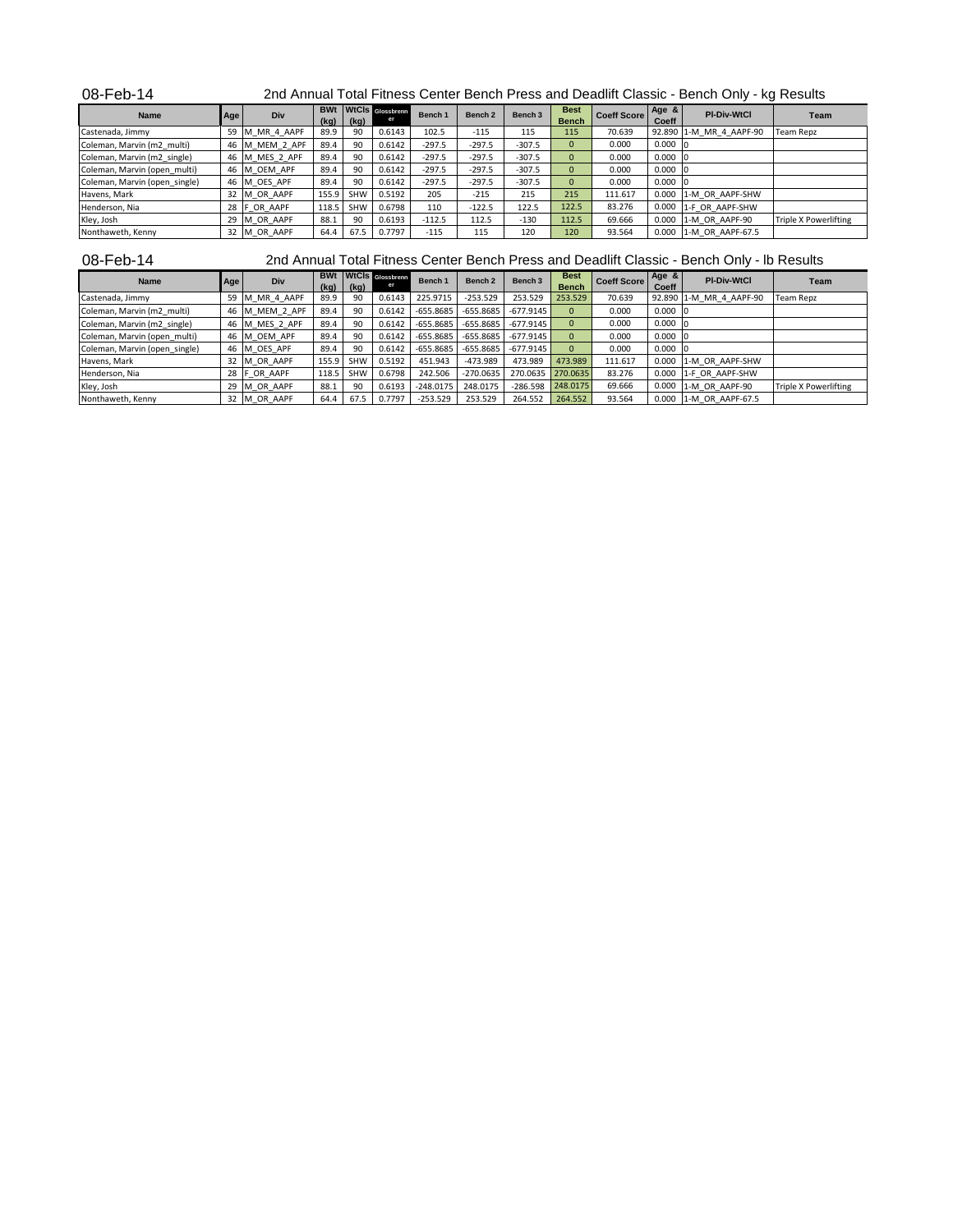| 08-Feb-14 | 2nd Annual Total Fitness Center Bench Press and Deadlift Classic - Bench Only - kg Results |
|-----------|--------------------------------------------------------------------------------------------|
|-----------|--------------------------------------------------------------------------------------------|

| <b>Name</b>                   | Age | <b>Div</b>     |       | $(kg)$ $(kg)$ | <b>BWt</b> WtCls Glossbrenn | Bench 1  | Bench <sub>2</sub> | Bench 3  | <b>Best</b><br><b>Bench</b> | <b>Coeff Score</b> | Age &<br>Coeff  | <b>PI-Div-WtCl</b>      | Team                  |
|-------------------------------|-----|----------------|-------|---------------|-----------------------------|----------|--------------------|----------|-----------------------------|--------------------|-----------------|-------------------------|-----------------------|
| Castenada, Jimmy              |     | 59 M MR 4 AAPF | 89.9  | 90            | 0.6143                      | 102.5    | $-115$             | 115      | 115                         | 70.639             |                 | 92.890 1-M MR 4 AAPF-90 | <b>Team Repz</b>      |
| Coleman, Marvin (m2 multi)    |     | 46 M MEM 2 APF | 89.4  | 90            | 0.6142                      | $-297.5$ | $-297.5$           | $-307.5$ | $\Omega$                    | 0.000              | $0.000 \quad 0$ |                         |                       |
| Coleman, Marvin (m2 single)   |     | 46 M MES 2 APF | 89.4  | 90            | 0.6142                      | $-297.5$ | $-297.5$           | $-307.5$ | $\Omega$                    | 0.000              | $0.000$ 0       |                         |                       |
| Coleman, Marvin (open multi)  |     | 46 M OEM APF   | 89.4  | 90            | 0.6142                      | $-297.5$ | $-297.5$           | $-307.5$ | $\Omega$                    | 0.000              | $0.000 \quad 0$ |                         |                       |
| Coleman, Marvin (open single) |     | 46 M OES APF   | 89.4  | 90            | 0.6142                      | $-297.5$ | $-297.5$           | $-307.5$ | $\Omega$                    | 0.000              | $0.000 \ 0$     |                         |                       |
| Havens, Mark                  |     | 32 M OR AAPF   | 155.9 | <b>SHW</b>    | 0.5192                      | 205      | $-215$             | 215      | 215                         | 111.617            |                 | 0.000 1-M OR AAPF-SHW   |                       |
| Henderson, Nia                |     | 28 F OR AAPF   | 118.5 | <b>SHW</b>    | 0.6798                      | 110      | $-122.5$           | 122.5    | 122.5                       | 83.276             |                 | 0.000 1-F OR AAPF-SHW   |                       |
| Kley, Josh                    |     | 29 M OR AAPF   | 88.1  | 90            | 0.6193                      | $-112.5$ | 112.5              | $-130$   | 112.5                       | 69.666             |                 | 0.000 1-M OR AAPF-90    | Triple X Powerlifting |
| Nonthaweth, Kenny             |     | 32 M OR AAPF   | 64.4  | 67.5          | 0.7797                      | $-115$   | 115                | 120      | 120                         | 93.564             |                 | 0.000 1-M OR AAPF-67.5  |                       |

08-Feb-14

2nd Annual Total Fitness Center Bench Press and Deadlift Classic - Bench Only - lb Results

| Name                          | Age | Div                     | <b>BWt</b><br>(kq) | (kq)       | WtCls Glossbrenn | Bench 1     | Bench <sub>2</sub> | Bench 3                 | <b>Best</b><br><b>Bench</b> | <b>Coeff Score</b> | Age $8$<br>Coeff | <b>PI-Div-WtCl</b>      | <b>Team</b>                  |
|-------------------------------|-----|-------------------------|--------------------|------------|------------------|-------------|--------------------|-------------------------|-----------------------------|--------------------|------------------|-------------------------|------------------------------|
| Castenada, Jimmy              | 59  | _MR_4_AAPF<br><b>IM</b> | 89.9               | 90         | 0.6143           | 225.9715    | $-253.529$         | 253.529                 | 253.529                     | 70.639             |                  | 92.890 1-M MR 4 AAPF-90 | Team Repz                    |
| Coleman, Marvin (m2 multi)    |     | 46 M MEM 2 APF          | 89.4               | 90         | 0.6142           | $-655.8685$ |                    | $-655.8685$ $-677.9145$ | $\Omega$                    | 0.000              | $0.000$ 0        |                         |                              |
| Coleman, Marvin (m2 single)   |     | 46 M MES 2 APF          | 89.4               | 90         | 0.6142           | $-655.8685$ |                    | $-655.8685$ $-677.9145$ | $\Omega$                    | 0.000              | $0.000 \quad 0$  |                         |                              |
| Coleman, Marvin (open_multi)  |     | 46 M OEM APF            | 89.4               | 90         | 0.6142           | $-655.8685$ | $-655.8685$        | $-677.9145$             | $\Omega$                    | 0.000              | $0.000$ $ 0$     |                         |                              |
| Coleman, Marvin (open single) |     | 46 M OES APF            | 89.4               | 90         | 0.6142           | $-655.8685$ |                    | $-655.8685$ $-677.9145$ | $\Omega$                    | 0.000              | $0.000$ 0        |                         |                              |
| Havens, Mark                  |     | 32 M OR AAPF            | 155.9              | <b>SHW</b> | 0.5192           | 451.943     | $-473.989$         | 473.989                 | 473.989                     | 111.617            |                  | 0.000 1-M OR AAPF-SHW   |                              |
| Henderson, Nia                |     | 28 F OR AAPF            | 118.5              | <b>SHW</b> | 0.6798           | 242.506     | $-270.0635$        | 270.0635                | 270.0635                    | 83.276             |                  | 0.000 1-F OR AAPF-SHW   |                              |
| Kley, Josh                    | 29  | M OR AAPF               | 88.1               | 90         | 0.6193           | $-248.0175$ | 248.0175           | $-286.598$              | 248,0175                    | 69.666             | 0.000            | 1-M OR AAPF-90          | <b>Triple X Powerlifting</b> |
| Nonthaweth, Kenny             |     | 32 M OR AAPF            | 64.4               | 67.5       | 0.7797           | $-253.529$  | 253.529            | 264.552                 | 264.552                     | 93.564             |                  | 0.000 1-M OR AAPF-67.5  |                              |